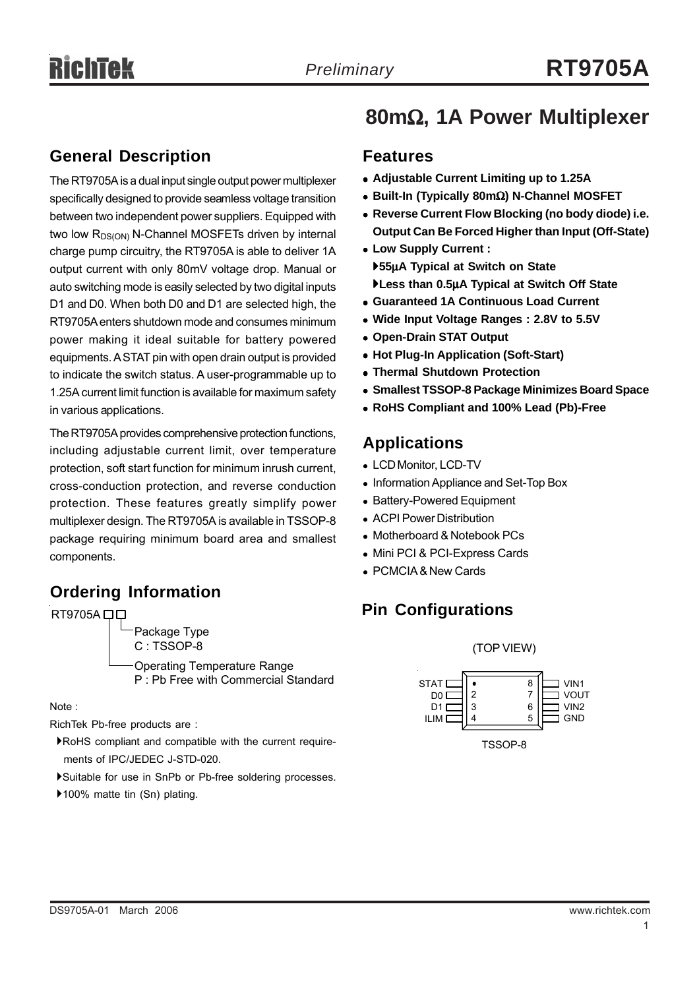#### **General Description**

The RT9705A is a dual input single output power multiplexer specifically designed to provide seamless voltage transition between two independent power suppliers. Equipped with two low R<sub>DS(ON)</sub> N-Channel MOSFETs driven by internal charge pump circuitry, the RT9705A is able to deliver 1A output current with only 80mV voltage drop. Manual or auto switching mode is easily selected by two digital inputs D1 and D0. When both D0 and D1 are selected high, the RT9705A enters shutdown mode and consumes minimum power making it ideal suitable for battery powered equipments. A STAT pin with open drain output is provided to indicate the switch status. A user-programmable up to 1.25A current limit function is available for maximum safety in various applications.

The RT9705A provides comprehensive protection functions, including adjustable current limit, over temperature protection, soft start function for minimum inrush current, cross-conduction protection, and reverse conduction protection. These features greatly simplify power multiplexer design. The RT9705A is available in TSSOP-8 package requiring minimum board area and smallest components.

### **Ordering Information**

Package Type C : TSSOP-8 Operating Temperature Range P : Pb Free with Commercial Standard  $RT9705A$  $\Box$  $\Box$ 

Note :

RichTek Pb-free products are :

- `RoHS compliant and compatible with the current require ments of IPC/JEDEC J-STD-020.
- `Suitable for use in SnPb or Pb-free soldering processes.
- ▶100% matte tin (Sn) plating.

# **80m**Ω**, 1A Power Multiplexer**

#### **Features**

- <sup>z</sup> **Adjustable Current Limiting up to 1.25A**
- <sup>z</sup> **Built-In (Typically 80m**Ω**) N-Channel MOSFET**
- **Reverse Current Flow Blocking (no body diode) i.e. Output Can Be Forced Higher than Input (Off-State)**
- **Low Supply Current :** `**55**μ**A Typical at Switch on State** `**Less than 0.5**μ**A Typical at Switch Off State**
- **Guaranteed 1A Continuous Load Current**
- Wide Input Voltage Ranges : 2.8V to 5.5V
- **Open-Drain STAT Output**
- <sup>z</sup> **Hot Plug-In Application (Soft-Start)**
- **Thermal Shutdown Protection**
- **Smallest TSSOP-8 Package Minimizes Board Space**
- <sup>z</sup> **RoHS Compliant and 100% Lead (Pb)-Free**

### **Applications**

- LCD Monitor, LCD-TV
- Information Appliance and Set-Top Box
- Battery-Powered Equipment
- ACPI Power Distribution
- Motherboard & Notebook PCs
- Mini PCI & PCI-Express Cards
- PCMCIA & New Cards

## **Pin Configurations**

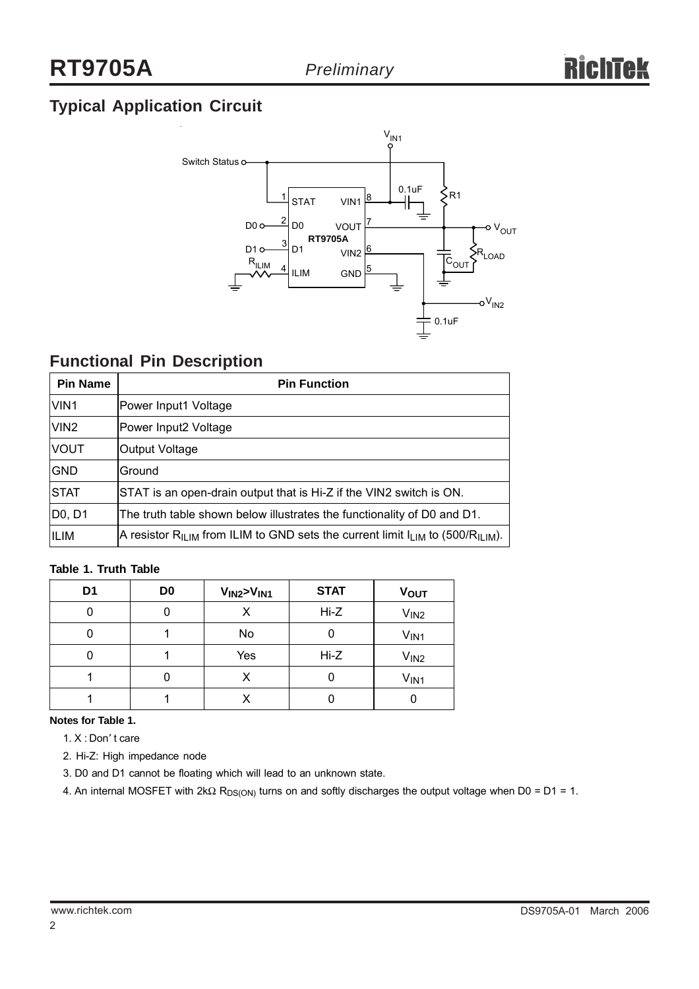# **Typical Application Circuit**



### **Functional Pin Description**

| <b>Pin Name</b>  | <b>Pin Function</b>                                                                                         |
|------------------|-------------------------------------------------------------------------------------------------------------|
| VIN <sub>1</sub> | Power Input1 Voltage                                                                                        |
| VIN <sub>2</sub> | Power Input2 Voltage                                                                                        |
| <b>VOUT</b>      | Output Voltage                                                                                              |
| <b>GND</b>       | Ground                                                                                                      |
| <b>STAT</b>      | STAT is an open-drain output that is Hi-Z if the VIN2 switch is ON.                                         |
| D0, D1           | The truth table shown below illustrates the functionality of D0 and D1.                                     |
| ILIM             | A resistor R <sub>ILIM</sub> from ILIM to GND sets the current limit $I_{LIM}$ to (500/R <sub>ILIM</sub> ). |

#### **Table 1. Truth Table**

| D <sub>1</sub> | D <sub>0</sub> | V <sub>IN2</sub> V <sub>IN1</sub> | <b>STAT</b> | <b>VOUT</b>      |
|----------------|----------------|-----------------------------------|-------------|------------------|
|                |                |                                   | $Hi-Z$      | V <sub>IN2</sub> |
|                |                | No                                |             | V <sub>IN1</sub> |
|                |                | Yes                               | $Hi-Z$      | V <sub>IN2</sub> |
|                |                |                                   |             | V <sub>IN1</sub> |
|                |                |                                   |             |                  |

**Notes for Table 1.**

- 1. X : Don' t care
- 2. Hi-Z: High impedance node

3. D0 and D1 cannot be floating which will lead to an unknown state.

4. An internal MOSFET with 2kΩ R<sub>DS(ON)</sub> turns on and softly discharges the output voltage when D0 = D1 = 1.

2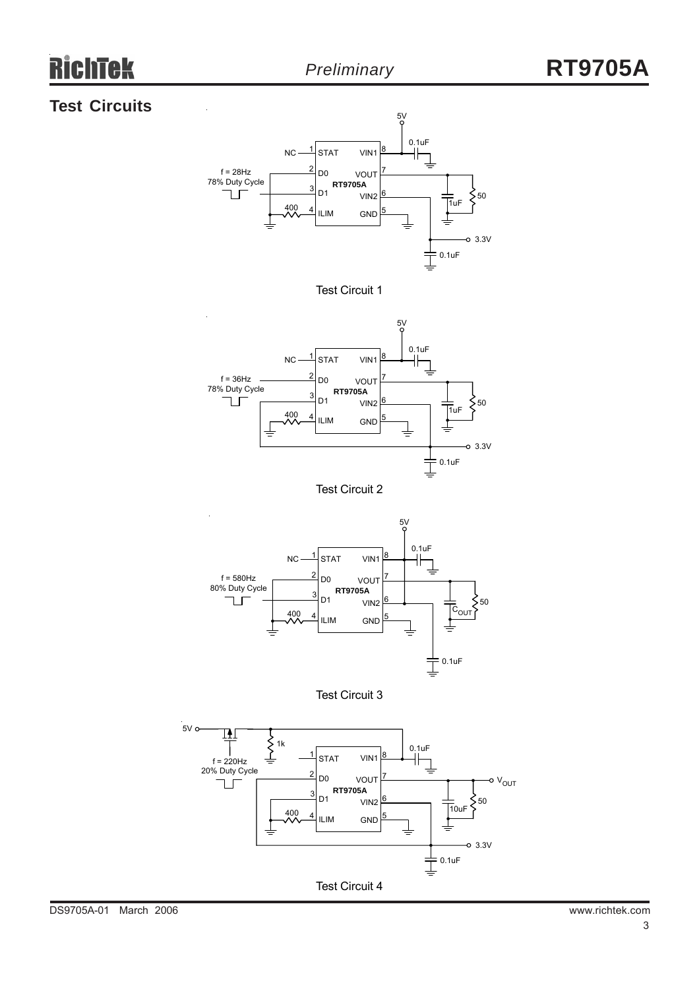# iek

### **Test Circuits**





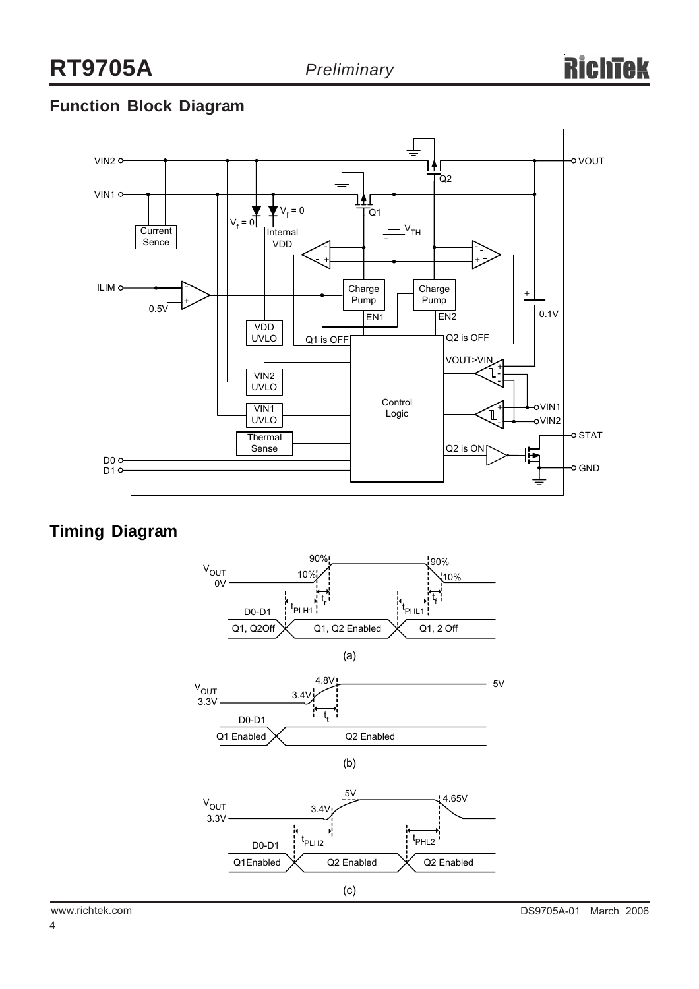### **Function Block Diagram**



### **Timing Diagram**



4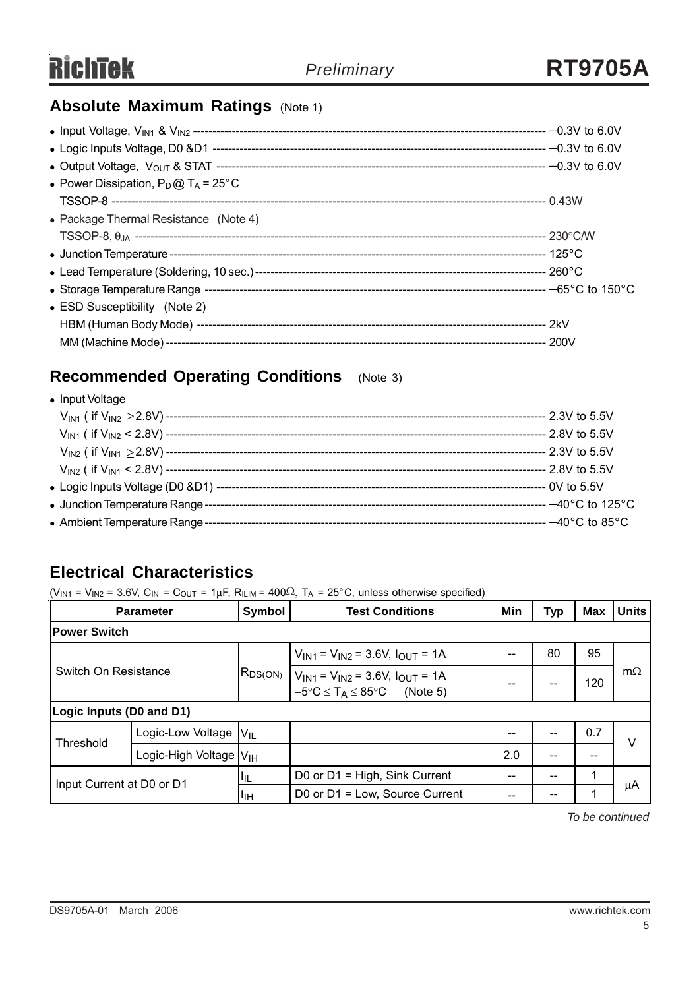### **Absolute Maximum Ratings (Note 1)**

| • Power Dissipation, $P_D @ T_A = 25^\circ C$ |  |
|-----------------------------------------------|--|
|                                               |  |
| • Package Thermal Resistance (Note 4)         |  |
|                                               |  |
|                                               |  |
|                                               |  |
|                                               |  |
| • ESD Susceptibility (Note 2)                 |  |
|                                               |  |
|                                               |  |

# **Recommended Operating Conditions** (Note 3)

| • Input Voltage                |  |
|--------------------------------|--|
|                                |  |
|                                |  |
|                                |  |
|                                |  |
|                                |  |
| • Junction Temperature Range - |  |
|                                |  |

### **Electrical Characteristics**

 $(V_{IN1} = V_{IN2} = 3.6V, C_{IN} = C_{OUT} = 1 \mu F, R_{ILIM} = 400 \Omega, T_A = 25^{\circ}C,$  unless otherwise specified)

| <b>Parameter</b>          |                                    | Symbol                                       | <b>Test Conditions</b>                                                                                                                                    | Min | <b>Typ</b> | <b>Max</b> | <b>Units</b> |
|---------------------------|------------------------------------|----------------------------------------------|-----------------------------------------------------------------------------------------------------------------------------------------------------------|-----|------------|------------|--------------|
| <b>Power Switch</b>       |                                    |                                              |                                                                                                                                                           |     |            |            |              |
| Switch On Resistance      |                                    | $V_{IN1}$ = $V_{IN2}$ = 3.6V, $I_{OUT}$ = 1A |                                                                                                                                                           |     | 80         | 95         |              |
|                           |                                    |                                              | $\big $ R <sub>DS(ON)</sub> $\big $ V <sub>IN1</sub> = V <sub>IN2</sub> = 3.6V, I <sub>OUT</sub> = 1A<br>$-5^{\circ}C \leq T_A \leq 85^{\circ}C$ (Note 5) | --  | --         | 120        | $m\Omega$    |
|                           | Logic Inputs (D0 and D1)           |                                              |                                                                                                                                                           |     |            |            |              |
| Threshold                 | Logic-Low Voltage                  | $V_{IL}$                                     |                                                                                                                                                           | --  |            | 0.7        | ٧            |
|                           | Logic-High Voltage V <sub>IH</sub> |                                              |                                                                                                                                                           | 2.0 |            | --         |              |
| Input Current at D0 or D1 |                                    | ЩL                                           | D0 or D1 = High, Sink Current                                                                                                                             |     |            |            |              |
|                           |                                    | ШH                                           | D0 or $D1 = Low$ , Source Current                                                                                                                         |     | --         |            | μA           |

*To be continued*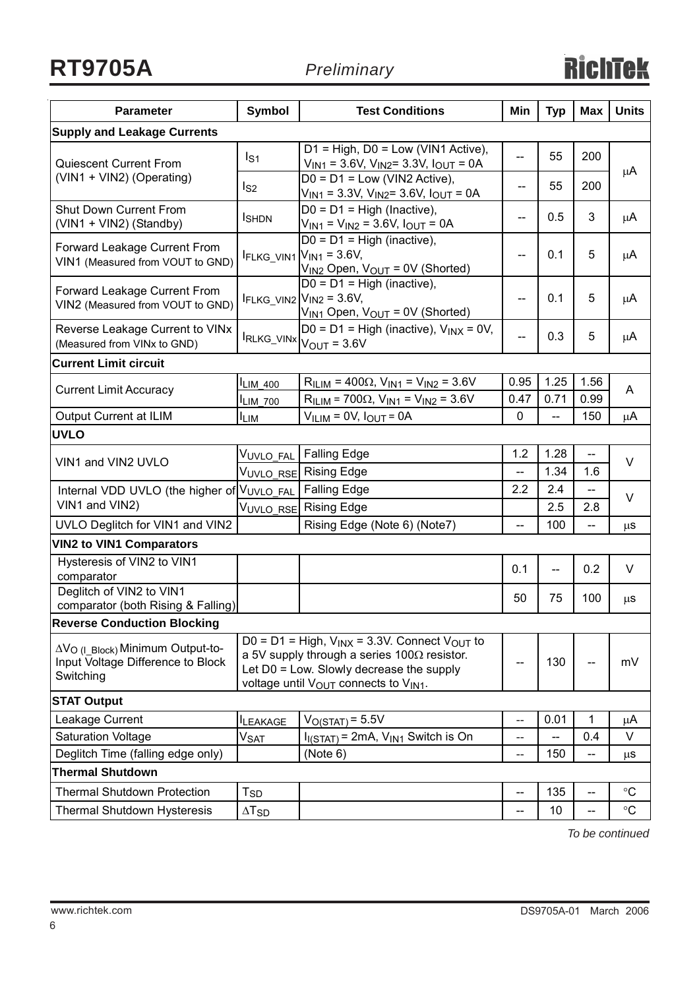**RT9705A** *Preliminary*

| <b>Parameter</b>                                                                               | <b>Symbol</b>            | <b>Test Conditions</b>                                                                                                                                                                                                    | Min                      | <b>Typ</b> | <b>Max</b>               | <b>Units</b>    |  |
|------------------------------------------------------------------------------------------------|--------------------------|---------------------------------------------------------------------------------------------------------------------------------------------------------------------------------------------------------------------------|--------------------------|------------|--------------------------|-----------------|--|
| <b>Supply and Leakage Currents</b>                                                             |                          |                                                                                                                                                                                                                           |                          |            |                          |                 |  |
| <b>Quiescent Current From</b>                                                                  | I <sub>S1</sub>          | $D1 = High, D0 = Low (VIN1 Active),$<br>$V_{IN1}$ = 3.6V, $V_{IN2}$ = 3.3V, $I_{OUT}$ = 0A                                                                                                                                | --                       | 55         | 200                      | μA              |  |
| (VIN1 + VIN2) (Operating)                                                                      | ls2                      | $D0 = D1 = Low (VIN2 Active),$<br>$V_{IN1}$ = 3.3V, $V_{IN2}$ = 3.6V, $I_{OUT}$ = 0A                                                                                                                                      | --                       | 55         | 200                      |                 |  |
| <b>Shut Down Current From</b><br>(VIN1 + VIN2) (Standby)                                       | <b>I</b> SHDN            | $D0 = D1 = High (Inactive),$<br>$V_{IN1} = V_{IN2} = 3.6V, I_{OUT} = 0A$                                                                                                                                                  | --                       | 0.5        | 3                        | μA              |  |
| Forward Leakage Current From<br>VIN1 (Measured from VOUT to GND)                               |                          | $D0 = D1 = High (inactive),$<br>$I_{\text{FLKG_VIN1}} V_{\text{IN1}}=3.6V,$<br>$V_{IN2}$ Open, $V_{OUT} = 0V$ (Shorted)                                                                                                   | --                       | 0.1        | 5                        | μA              |  |
| Forward Leakage Current From<br>VIN2 (Measured from VOUT to GND)                               |                          | $D0 = D1 = High (inactive),$<br>$I_{FLKG_VIN2}$ $V_{IN2}$ = 3.6V,<br>$V_{IN1}$ Open, $V_{OUT} = 0V$ (Shorted)                                                                                                             | --                       | 0.1        | 5                        | μA              |  |
| Reverse Leakage Current to VINx<br>(Measured from VINx to GND)                                 |                          | D0 = D1 = High (inactive), $V_{INX}$ = 0V,<br>$I_{RLKG\_VINx} _{V_{OUT}} = 3.6V$                                                                                                                                          | $\overline{\phantom{a}}$ | 0.3        | 5                        | μA              |  |
| <b>Current Limit circuit</b>                                                                   |                          |                                                                                                                                                                                                                           |                          |            |                          |                 |  |
| <b>Current Limit Accuracy</b>                                                                  | <b>ILIM_400</b>          | $RILIM = 400\Omega, VIN1 = VIN2 = 3.6V$                                                                                                                                                                                   | 0.95                     | 1.25       | 1.56                     | A               |  |
|                                                                                                | $I_{LIM_700}$            | $R_{ILIM}$ = 700 $\Omega$ , $V_{IN1}$ = $V_{IN2}$ = 3.6V                                                                                                                                                                  | 0.47                     | 0.71       | 0.99                     |                 |  |
| Output Current at ILIM                                                                         | $I_{LIM}$                | $VILIM = 0V, IOUT = 0A$                                                                                                                                                                                                   | $\mathbf 0$              |            | 150                      | μA              |  |
| <b>UVLO</b>                                                                                    |                          |                                                                                                                                                                                                                           |                          |            |                          |                 |  |
| VIN1 and VIN2 UVLO                                                                             | V <sub>UVLO_FAL</sub>    | <b>Falling Edge</b>                                                                                                                                                                                                       | 1.2                      | 1.28       | --                       | V               |  |
|                                                                                                |                          | V <sub>UVLO_RSE</sub> Rising Edge                                                                                                                                                                                         | --                       | 1.34       | 1.6                      |                 |  |
| Internal VDD UVLO (the higher of VUVLO_FAL                                                     |                          | <b>Falling Edge</b>                                                                                                                                                                                                       | 2.2                      | 2.4        | $\overline{\phantom{a}}$ | V               |  |
| VIN1 and VIN2)                                                                                 | VUVLO RSE                | <b>Rising Edge</b>                                                                                                                                                                                                        |                          | 2.5        | 2.8                      |                 |  |
| UVLO Deglitch for VIN1 and VIN2                                                                |                          | Rising Edge (Note 6) (Note7)                                                                                                                                                                                              | --                       | 100        | $\overline{\phantom{a}}$ | $\mu$ s         |  |
| <b>VIN2 to VIN1 Comparators</b>                                                                |                          |                                                                                                                                                                                                                           |                          |            |                          |                 |  |
| Hysteresis of VIN2 to VIN1<br>comparator                                                       |                          |                                                                                                                                                                                                                           | 0.1                      | $-$        | 0.2                      | V               |  |
| Deglitch of VIN2 to VIN1<br>comparator (both Rising & Falling)                                 |                          |                                                                                                                                                                                                                           | 50                       | 75         | 100                      | μS              |  |
| <b>Reverse Conduction Blocking</b>                                                             |                          |                                                                                                                                                                                                                           |                          |            |                          |                 |  |
| ΔV <sub>O (I Block)</sub> Minimum Output-to-<br>Input Voltage Difference to Block<br>Switching |                          | D0 = D1 = High, $V_{INX}$ = 3.3V. Connect $V_{OUT}$ to<br>a 5V supply through a series $100\Omega$ resistor.<br>Let D0 = Low. Slowly decrease the supply<br>voltage until V <sub>OUT</sub> connects to V <sub>IN1</sub> . |                          | 130        |                          | mV              |  |
| <b>STAT Output</b>                                                                             |                          |                                                                                                                                                                                                                           |                          |            |                          |                 |  |
| Leakage Current                                                                                | <b>ILEAKAGE</b>          | $VO(STAT) = 5.5V$                                                                                                                                                                                                         | --                       | 0.01       | 1                        | μA              |  |
| <b>Saturation Voltage</b>                                                                      | <b>V<sub>SAT</sub></b>   | $I_{I(STAT)}$ = 2mA, $V_{IN1}$ Switch is On                                                                                                                                                                               | $-$                      |            | 0.4                      | V               |  |
| Deglitch Time (falling edge only)                                                              |                          | (Note 6)                                                                                                                                                                                                                  | --                       | 150        | --                       | $\mu$ S         |  |
| <b>Thermal Shutdown</b>                                                                        |                          |                                                                                                                                                                                                                           |                          |            |                          |                 |  |
| <b>Thermal Shutdown Protection</b>                                                             | <b>T<sub>SD</sub></b>    |                                                                                                                                                                                                                           | --                       | 135        | --                       | $\rm ^{\circ}C$ |  |
| <b>Thermal Shutdown Hysteresis</b>                                                             | $\Delta$ T <sub>SD</sub> |                                                                                                                                                                                                                           | --                       | 10         | --                       | $^{\circ}C$     |  |

*To be continued*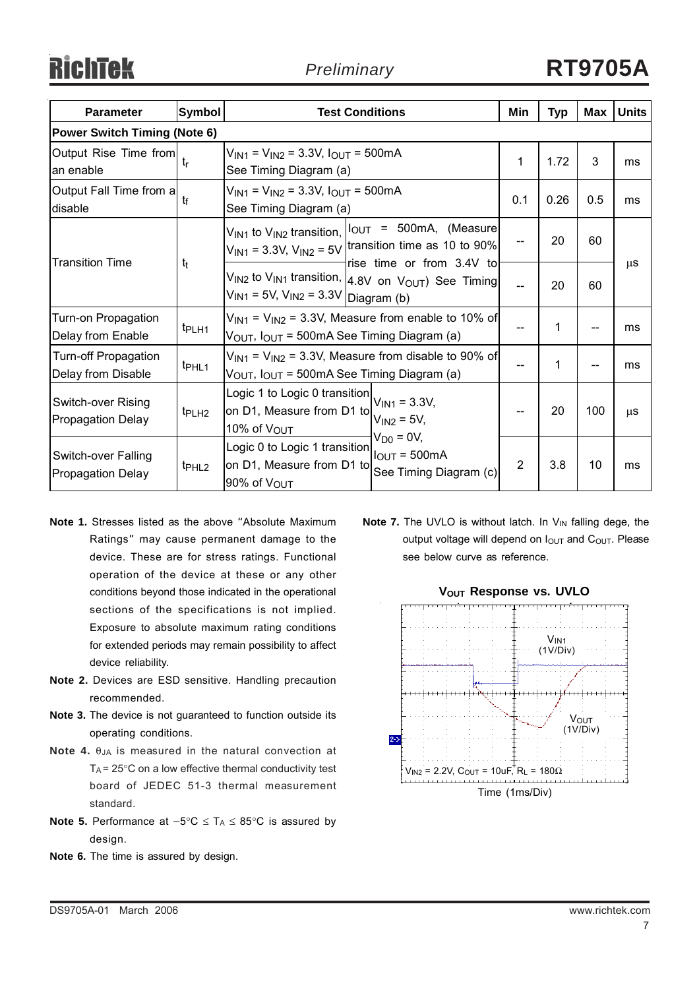| <b>Parameter</b>                                       | Symbol            | <b>Test Conditions</b>                                                                                                                                                 | Min            | Typ  | Max | <b>Units</b> |  |  |  |
|--------------------------------------------------------|-------------------|------------------------------------------------------------------------------------------------------------------------------------------------------------------------|----------------|------|-----|--------------|--|--|--|
| <b>Power Switch Timing (Note 6)</b>                    |                   |                                                                                                                                                                        |                |      |     |              |  |  |  |
| Output Rise Time from<br>an enable                     | tr                | $V_{IN1}$ = $V_{IN2}$ = 3.3V, $I_{OUT}$ = 500mA<br>See Timing Diagram (a)                                                                                              | 1              | 1.72 | 3   | ms           |  |  |  |
| Output Fall Time from a<br>disable                     | $t_{f}$           | $V_{IN1}$ = $V_{IN2}$ = 3.3V, $I_{OUT}$ = 500mA<br>See Timing Diagram (a)                                                                                              | 0.1            | 0.26 | 0.5 | ms           |  |  |  |
| <b>Transition Time</b>                                 | $t_{t}$           | $V_{IN1}$ to $V_{IN2}$ transition, $ {}^{\dagger}$ OUT = 500mA, (Measure<br>$V_{IN1}$ = 3.3V, $V_{IN2}$ = 5V transition time as 10 to 90%<br>rise time or from 3.4V to |                | 20   | 60  |              |  |  |  |
|                                                        |                   | $V_{IN2}$ to $V_{IN1}$ transition, $4.8V$ on $V_{OUT}$ ) See Timing<br>$V_{1N1}$ = 5V, $V_{1N2}$ = 3.3V Diagram (b)                                                    |                | 20   | 60  | $\mu$ S      |  |  |  |
| Turn-on Propagation<br>Delay from Enable               | t <sub>PLH1</sub> | $V_{1N1}$ = $V_{1N2}$ = 3.3V, Measure from enable to 10% of<br>$V_{OUT}$ , $I_{OUT}$ = 500mA See Timing Diagram (a)                                                    |                | 1    |     | ms           |  |  |  |
| Turn-off Propagation<br>Delay from Disable             | t <sub>PHL1</sub> | $V_{1N1}$ = $V_{1N2}$ = 3.3V, Measure from disable to 90% of<br>V <sub>OUT</sub> , I <sub>OUT</sub> = 500mA See Timing Diagram (a)                                     |                | 1    |     | ms           |  |  |  |
| Switch-over Rising<br><b>Propagation Delay</b>         | t <sub>PLH2</sub> | Logic 1 to Logic 0 transition $V_{IN1} = 3.3V$ ,<br>on D1, Measure from D1 to<br>$V_{IN2} = 5V,$<br>10% of V <sub>OUT</sub>                                            |                | 20   | 100 | $\mu$ S      |  |  |  |
| <b>Switch-over Falling</b><br><b>Propagation Delay</b> | t <sub>PHL2</sub> | $V_{D0} = 0V$ ,<br>Logic 0 to Logic 1 transition<br>$I_{OUT} = 500mA$<br>on D1, Measure from D1 to<br>See Timing Diagram (c)<br>90% of V <sub>OUT</sub>                | $\overline{2}$ | 3.8  | 10  | ms           |  |  |  |

- **Note 1.** Stresses listed as the above "Absolute Maximum Ratings" may cause permanent damage to the device. These are for stress ratings. Functional operation of the device at these or any other conditions beyond those indicated in the operational sections of the specifications is not implied. Exposure to absolute maximum rating conditions for extended periods may remain possibility to affect device reliability.
- **Note 2.** Devices are ESD sensitive. Handling precaution recommended.
- **Note 3.** The device is not guaranteed to function outside its operating conditions.
- **Note 4.** θJA is measured in the natural convection at  $T_A$  = 25 $\degree$ C on a low effective thermal conductivity test board of JEDEC 51-3 thermal measurement standard.
- Note 5. Performance at  $-5^{\circ}C \leq T_A \leq 85^{\circ}C$  is assured by design.
- **Note 6.** The time is assured by design.

**Note 7.** The UVLO is without latch. In V<sub>IN</sub> falling dege, the output voltage will depend on  $I<sub>OUT</sub>$  and  $C<sub>OUT</sub>$ . Please see below curve as reference.

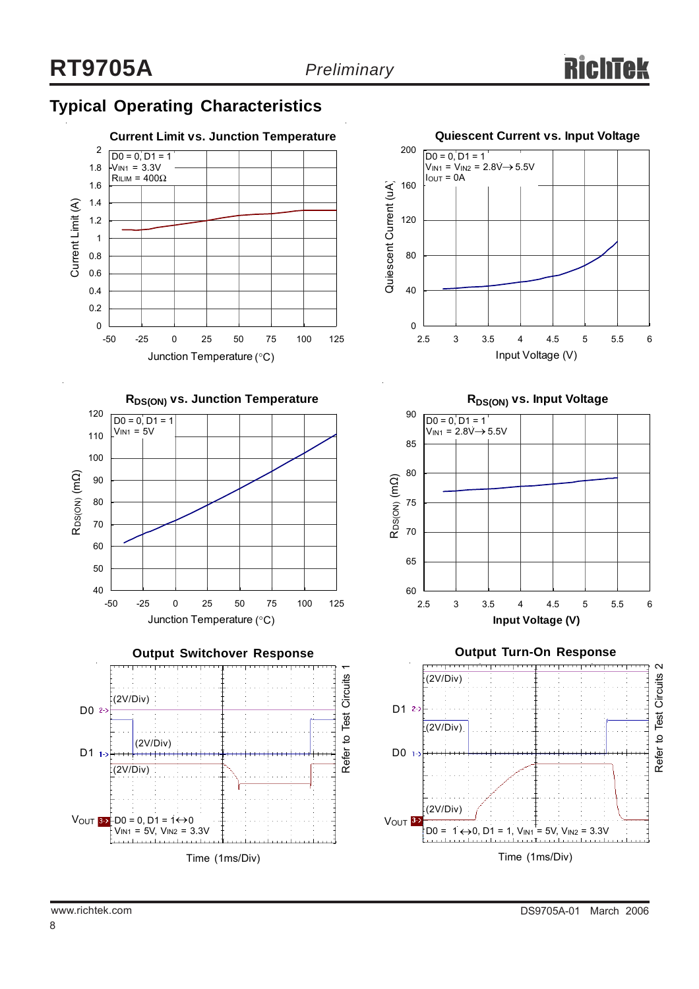# **Typical Operating Characteristics**





**RDS(ON) vs. Input Voltage**



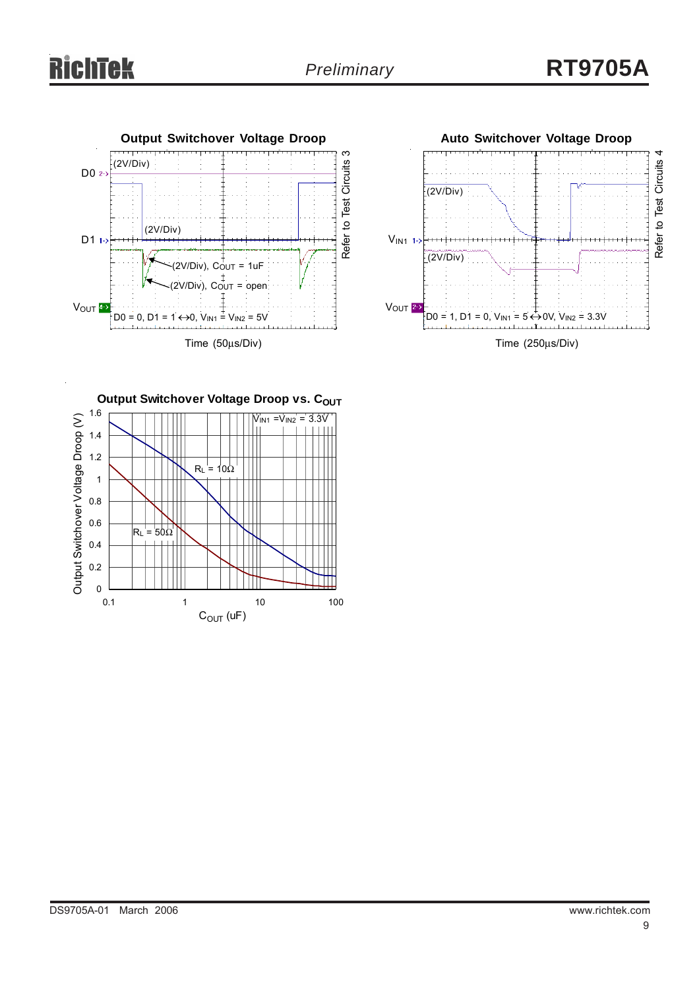



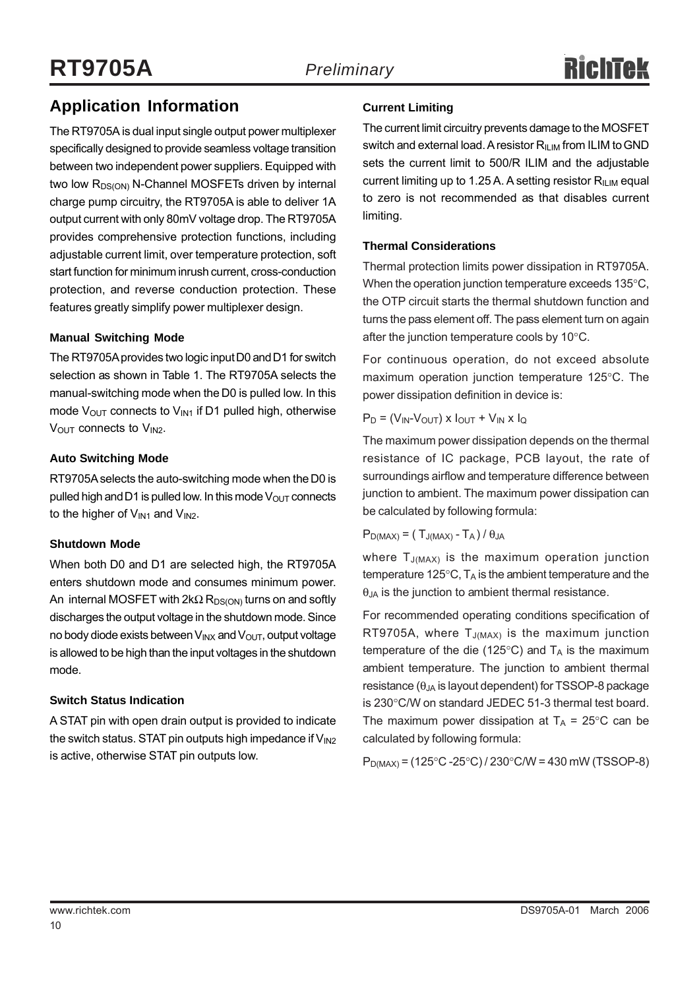## **Application Information**

The RT9705A is dual input single output power multiplexer specifically designed to provide seamless voltage transition between two independent power suppliers. Equipped with two low R<sub>DS(ON)</sub> N-Channel MOSFETs driven by internal charge pump circuitry, the RT9705A is able to deliver 1A output current with only 80mV voltage drop. The RT9705A provides comprehensive protection functions, including adjustable current limit, over temperature protection, soft start function for minimum inrush current, cross-conduction protection, and reverse conduction protection. These features greatly simplify power multiplexer design.

#### **Manual Switching Mode**

The RT9705A provides two logic input D0 and D1 for switch selection as shown in Table 1. The RT9705A selects the manual-switching mode when the D0 is pulled low. In this mode  $V_{OUT}$  connects to  $V_{INI}$  if D1 pulled high, otherwise  $V<sub>OUT</sub>$  connects to  $V<sub>IN2</sub>$ .

#### **Auto Switching Mode**

RT9705A selects the auto-switching mode when the D0 is pulled high and D1 is pulled low. In this mode  $V_{\text{OUT}}$  connects to the higher of  $V_{IN1}$  and  $V_{IN2}$ .

#### **Shutdown Mode**

When both D0 and D1 are selected high, the RT9705A enters shutdown mode and consumes minimum power. An internal MOSFET with  $2k\Omega R_{DS(ON)}$  turns on and softly discharges the output voltage in the shutdown mode. Since no body diode exists between  $V_{INX}$  and  $V_{OUT}$ , output voltage is allowed to be high than the input voltages in the shutdown mode.

#### **Switch Status Indication**

A STAT pin with open drain output is provided to indicate the switch status. STAT pin outputs high impedance if  $V_{1N2}$ is active, otherwise STAT pin outputs low.

#### **Current Limiting**

The current limit circuitry prevents damage to the MOSFET switch and external load. A resistor  $R_{ILIM}$  from ILIM to GND sets the current limit to 500/R ILIM and the adjustable current limiting up to 1.25 A. A setting resistor  $R_{\text{ILIM}}$  equal to zero is not recommended as that disables current limiting.

#### **Thermal Considerations**

Thermal protection limits power dissipation in RT9705A. When the operation junction temperature exceeds 135°C, the OTP circuit starts the thermal shutdown function and turns the pass element off. The pass element turn on again after the junction temperature cools by 10°C.

For continuous operation, do not exceed absolute maximum operation junction temperature 125°C. The power dissipation definition in device is:

 $P_D = (V_{IN} - V_{OUT}) \times I_{OUT} + V_{IN} \times I_{Q}$ 

The maximum power dissipation depends on the thermal resistance of IC package, PCB layout, the rate of surroundings airflow and temperature difference between junction to ambient. The maximum power dissipation can be calculated by following formula:

 $P_{D(MAX)} = (T_{J(MAX)} - T_A)/\theta_{JA}$ 

where  $T_{J(MAX)}$  is the maximum operation junction temperature 125 $\degree$ C, T<sub>A</sub> is the ambient temperature and the  $\theta_{JA}$  is the junction to ambient thermal resistance.

For recommended operating conditions specification of RT9705A, where  $T_{J(MAX)}$  is the maximum junction temperature of the die (125 $\degree$ C) and T<sub>A</sub> is the maximum ambient temperature. The junction to ambient thermal resistance  $(\theta_{JA}$  is layout dependent) for TSSOP-8 package is 230°C/W on standard JEDEC 51-3 thermal test board. The maximum power dissipation at  $T_A = 25^{\circ}$ C can be calculated by following formula:

 $P_{D(MAX)} = (125\degree C - 25\degree C)/230\degree C/W = 430$  mW (TSSOP-8)